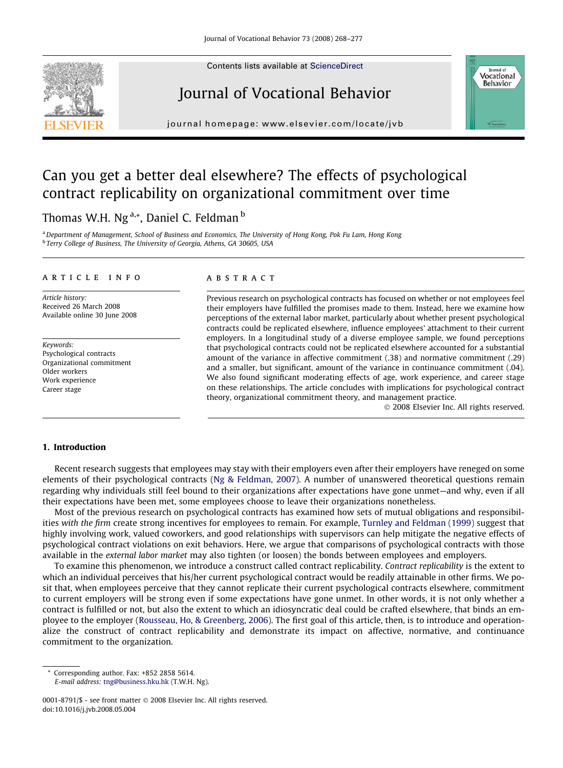Contents lists available at [ScienceDirect](http://www.sciencedirect.com/science/journal/00018791)



# Journal of Vocational Behavior



journal homepage: [www.elsevier.com/locate/jvb](http://www.elsevier.com/locate/jvb)

# Can you get a better deal elsewhere? The effects of psychological contract replicability on organizational commitment over time

### Thomas W.H. Ng<sup>a,\*</sup>, Daniel C. Feldman<sup>b</sup>

a Department of Management, School of Business and Economics, The University of Hong Kong, Pok Fu Lam, Hong Kong <sup>b</sup> Terry College of Business, The University of Georgia, Athens, GA 30605, USA

#### article info

Article history: Received 26 March 2008 Available online 30 June 2008

Keywords: Psychological contracts Organizational commitment Older workers Work experience Career stage

#### **ABSTRACT**

Previous research on psychological contracts has focused on whether or not employees feel their employers have fulfilled the promises made to them. Instead, here we examine how perceptions of the external labor market, particularly about whether present psychological contracts could be replicated elsewhere, influence employees' attachment to their current employers. In a longitudinal study of a diverse employee sample, we found perceptions that psychological contracts could not be replicated elsewhere accounted for a substantial amount of the variance in affective commitment (.38) and normative commitment (.29) and a smaller, but significant, amount of the variance in continuance commitment (.04). We also found significant moderating effects of age, work experience, and career stage on these relationships. The article concludes with implications for psychological contract theory, organizational commitment theory, and management practice.

- 2008 Elsevier Inc. All rights reserved.

#### 1. Introduction

Recent research suggests that employees may stay with their employers even after their employers have reneged on some elements of their psychological contracts ([Ng & Feldman, 2007](#page--1-0)). A number of unanswered theoretical questions remain regarding why individuals still feel bound to their organizations after expectations have gone unmet—and why, even if all their expectations have been met, some employees choose to leave their organizations nonetheless.

Most of the previous research on psychological contracts has examined how sets of mutual obligations and responsibilities with the firm create strong incentives for employees to remain. For example, [Turnley and Feldman \(1999\)](#page--1-0) suggest that highly involving work, valued coworkers, and good relationships with supervisors can help mitigate the negative effects of psychological contract violations on exit behaviors. Here, we argue that comparisons of psychological contracts with those available in the external labor market may also tighten (or loosen) the bonds between employees and employers.

To examine this phenomenon, we introduce a construct called contract replicability. Contract replicability is the extent to which an individual perceives that his/her current psychological contract would be readily attainable in other firms. We posit that, when employees perceive that they cannot replicate their current psychological contracts elsewhere, commitment to current employers will be strong even if some expectations have gone unmet. In other words, it is not only whether a contract is fulfilled or not, but also the extent to which an idiosyncratic deal could be crafted elsewhere, that binds an employee to the employer [\(Rousseau, Ho, & Greenberg, 2006](#page--1-0)). The first goal of this article, then, is to introduce and operationalize the construct of contract replicability and demonstrate its impact on affective, normative, and continuance commitment to the organization.

<sup>\*</sup> Corresponding author. Fax: +852 2858 5614.

E-mail address: [tng@business.hku.hk](mailto:tng@business.hku.hk) (T.W.H. Ng).

<sup>0001-8791/\$ -</sup> see front matter © 2008 Elsevier Inc. All rights reserved. doi:10.1016/j.jvb.2008.05.004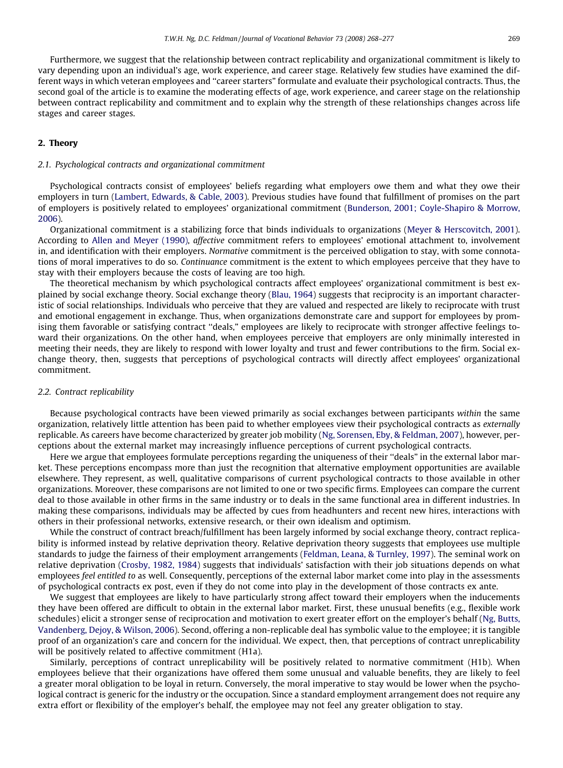Furthermore, we suggest that the relationship between contract replicability and organizational commitment is likely to vary depending upon an individual's age, work experience, and career stage. Relatively few studies have examined the different ways in which veteran employees and ''career starters" formulate and evaluate their psychological contracts. Thus, the second goal of the article is to examine the moderating effects of age, work experience, and career stage on the relationship between contract replicability and commitment and to explain why the strength of these relationships changes across life stages and career stages.

#### 2. Theory

#### 2.1. Psychological contracts and organizational commitment

Psychological contracts consist of employees' beliefs regarding what employers owe them and what they owe their employers in turn ([Lambert, Edwards, & Cable, 2003](#page--1-0)). Previous studies have found that fulfillment of promises on the part of employers is positively related to employees' organizational commitment [\(Bunderson, 2001; Coyle-Shapiro & Morrow,](#page--1-0) [2006\)](#page--1-0).

Organizational commitment is a stabilizing force that binds individuals to organizations ([Meyer & Herscovitch, 2001](#page--1-0)). According to [Allen and Meyer \(1990\),](#page--1-0) affective commitment refers to employees' emotional attachment to, involvement in, and identification with their employers. Normative commitment is the perceived obligation to stay, with some connotations of moral imperatives to do so. Continuance commitment is the extent to which employees perceive that they have to stay with their employers because the costs of leaving are too high.

The theoretical mechanism by which psychological contracts affect employees' organizational commitment is best explained by social exchange theory. Social exchange theory ([Blau, 1964\)](#page--1-0) suggests that reciprocity is an important characteristic of social relationships. Individuals who perceive that they are valued and respected are likely to reciprocate with trust and emotional engagement in exchange. Thus, when organizations demonstrate care and support for employees by promising them favorable or satisfying contract ''deals," employees are likely to reciprocate with stronger affective feelings toward their organizations. On the other hand, when employees perceive that employers are only minimally interested in meeting their needs, they are likely to respond with lower loyalty and trust and fewer contributions to the firm. Social exchange theory, then, suggests that perceptions of psychological contracts will directly affect employees' organizational commitment.

#### 2.2. Contract replicability

Because psychological contracts have been viewed primarily as social exchanges between participants within the same organization, relatively little attention has been paid to whether employees view their psychological contracts as externally replicable. As careers have become characterized by greater job mobility ([Ng, Sorensen, Eby, & Feldman, 2007](#page--1-0)), however, perceptions about the external market may increasingly influence perceptions of current psychological contracts.

Here we argue that employees formulate perceptions regarding the uniqueness of their ''deals" in the external labor market. These perceptions encompass more than just the recognition that alternative employment opportunities are available elsewhere. They represent, as well, qualitative comparisons of current psychological contracts to those available in other organizations. Moreover, these comparisons are not limited to one or two specific firms. Employees can compare the current deal to those available in other firms in the same industry or to deals in the same functional area in different industries. In making these comparisons, individuals may be affected by cues from headhunters and recent new hires, interactions with others in their professional networks, extensive research, or their own idealism and optimism.

While the construct of contract breach/fulfillment has been largely informed by social exchange theory, contract replicability is informed instead by relative deprivation theory. Relative deprivation theory suggests that employees use multiple standards to judge the fairness of their employment arrangements [\(Feldman, Leana, & Turnley, 1997\)](#page--1-0). The seminal work on relative deprivation [\(Crosby, 1982, 1984\)](#page--1-0) suggests that individuals' satisfaction with their job situations depends on what employees feel entitled to as well. Consequently, perceptions of the external labor market come into play in the assessments of psychological contracts ex post, even if they do not come into play in the development of those contracts ex ante.

We suggest that employees are likely to have particularly strong affect toward their employers when the inducements they have been offered are difficult to obtain in the external labor market. First, these unusual benefits (e.g., flexible work schedules) elicit a stronger sense of reciprocation and motivation to exert greater effort on the employer's behalf ([Ng, Butts,](#page--1-0) [Vandenberg, Dejoy, & Wilson, 2006\)](#page--1-0). Second, offering a non-replicable deal has symbolic value to the employee; it is tangible proof of an organization's care and concern for the individual. We expect, then, that perceptions of contract unreplicability will be positively related to affective commitment (H1a).

Similarly, perceptions of contract unreplicability will be positively related to normative commitment (H1b). When employees believe that their organizations have offered them some unusual and valuable benefits, they are likely to feel a greater moral obligation to be loyal in return. Conversely, the moral imperative to stay would be lower when the psychological contract is generic for the industry or the occupation. Since a standard employment arrangement does not require any extra effort or flexibility of the employer's behalf, the employee may not feel any greater obligation to stay.